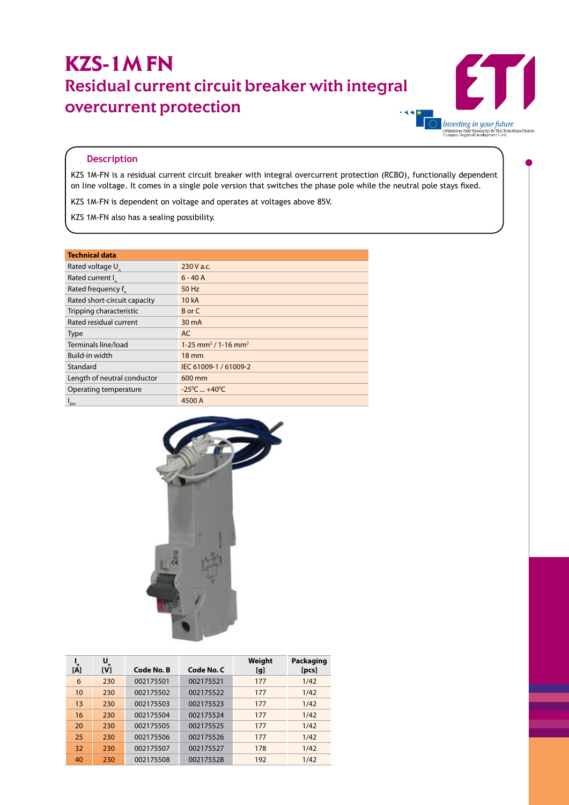## **KZS-1M FN** Residual current circuit breaker with integral overcurrent protection



## **Description**

KZS 1M-FN is a residual current circuit breaker with integral overcurrent protection (RCBO), functionally dependent on line voltage. It comes in a single pole version that switches the phase pole while the neutral pole stays fixed.

KZS 1M-FN is dependent on voltage and operates at voltages above 85V.

KZS 1M-FN also has a sealing possibility.

| <b>Technical data</b>        |                                               |  |  |  |  |
|------------------------------|-----------------------------------------------|--|--|--|--|
| Rated voltage U <sub>n</sub> | $230V$ a.c.                                   |  |  |  |  |
| Rated current I              | $6 - 40A$                                     |  |  |  |  |
| Rated frequency f            | 50 Hz                                         |  |  |  |  |
| Rated short-circuit capacity | 10 kA                                         |  |  |  |  |
| Tripping characteristic      | B or C                                        |  |  |  |  |
| Rated residual current       | 30 mA                                         |  |  |  |  |
| <b>Type</b>                  | AC                                            |  |  |  |  |
| Terminals line/load          | $1-25$ mm <sup>2</sup> / 1-16 mm <sup>2</sup> |  |  |  |  |
| Build-in width               | $18 \text{ mm}$                               |  |  |  |  |
| Standard                     | IEC 61009-1 / 61009-2                         |  |  |  |  |
| Length of neutral conductor  | 600 mm                                        |  |  |  |  |
| Operating temperature        | $-25^{\circ}$ C $+40^{\circ}$ C               |  |  |  |  |
| $I_{\Delta m}$               | 4500 A                                        |  |  |  |  |



| n<br>[A] | U<br>$\mathbf{r}$<br>[V] | Code No. B | Code No. C | Weight<br>[g] | Packaging<br>[pcs] |
|----------|--------------------------|------------|------------|---------------|--------------------|
| 6        | 230                      | 002175501  | 002175521  | 177           | 1/42               |
| 10       | 230                      | 002175502  | 002175522  | 177           | 1/42               |
| 13       | 230                      | 002175503  | 002175523  | 177           | 1/42               |
| 16       | 230                      | 002175504  | 002175524  | 177           | 1/42               |
| 20       | 230                      | 002175505  | 002175525  | 177           | 1/42               |
| 25       | 230                      | 002175506  | 002175526  | 177           | 1/42               |
| 32       | 230                      | 002175507  | 002175527  | 178           | 1/42               |
| 40       | 230                      | 002175508  | 002175528  | 192           | 1/42               |